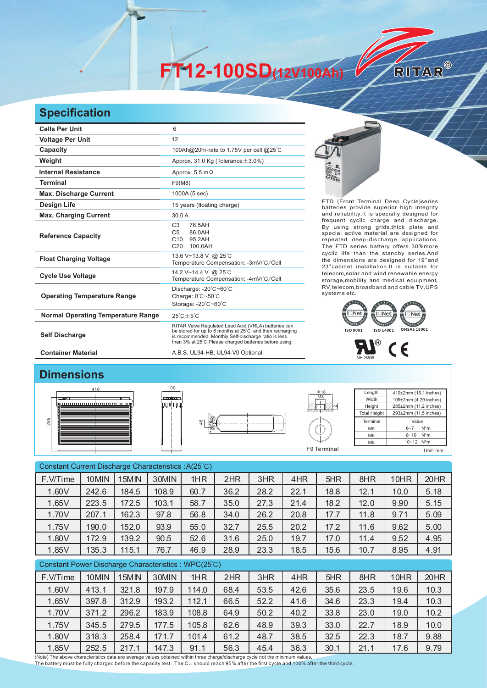**FT12-100SD(12V100Ah)** 

## **Specification**

| <b>Cells Per Unit</b>                     | 6                                                                                                                                                                                                                                   |                                                                                                                                                                                                               |
|-------------------------------------------|-------------------------------------------------------------------------------------------------------------------------------------------------------------------------------------------------------------------------------------|---------------------------------------------------------------------------------------------------------------------------------------------------------------------------------------------------------------|
| <b>Voltage Per Unit</b>                   | 12                                                                                                                                                                                                                                  |                                                                                                                                                                                                               |
| Capacity                                  | 100Ah@20hr-rate to 1.75V per cell @25°C                                                                                                                                                                                             |                                                                                                                                                                                                               |
| Weight                                    | Approx. 31.0 Kg (Tolerance $\pm$ 3.0%)                                                                                                                                                                                              |                                                                                                                                                                                                               |
| <b>Internal Resistance</b>                | Approx. $5.5 \text{ m}\Omega$                                                                                                                                                                                                       |                                                                                                                                                                                                               |
| <b>Terminal</b>                           | F9(M8)                                                                                                                                                                                                                              | 4.000                                                                                                                                                                                                         |
| <b>Max. Discharge Current</b>             | 1000A (5 sec)                                                                                                                                                                                                                       |                                                                                                                                                                                                               |
| <b>Design Life</b>                        | 15 years (floating charge)                                                                                                                                                                                                          | FTD (Front Terminal Deep Cycle)series<br>batteries provide superior high integrity                                                                                                                            |
| <b>Max. Charging Current</b>              | 30.0 A                                                                                                                                                                                                                              | and reliability. It is specially designed for                                                                                                                                                                 |
| <b>Reference Capacity</b>                 | C <sub>3</sub><br>76.5AH<br>C <sub>5</sub><br>86.0AH<br>C10<br>95.2AH<br>100.0AH<br>C <sub>20</sub>                                                                                                                                 | frequent cyclic charge and discharge.<br>By using strong grids, thick plate and<br>special active material are designed for<br>repeated deep-discharge applications.<br>The FTD series battery offers 30%more |
| <b>Float Charging Voltage</b>             | 13.6 V~13.8 V @ 25°C<br>Temperature Compensation: -3mV/°C/Cell                                                                                                                                                                      | cyclic life than the standby series.And<br>the dimensions are designed for 19"and<br>23" cabinet installation. It is suitable for                                                                             |
| <b>Cycle Use Voltage</b>                  | 14.2 V~14.4 V @ 25°C<br>Temperature Compensation: -4mV/°C/Cell                                                                                                                                                                      | telecom, solar and wind renewable energy<br>storage, mobility and medical equipment,                                                                                                                          |
| <b>Operating Temperature Range</b>        | Discharge: -20°C~60°C<br>Charge: $0^{\circ}$ C $\sim$ 50 $^{\circ}$ C<br>Storage: -20°C~60°C                                                                                                                                        | RV, telecom, broadband and cable TV, UPS<br>systems etc.                                                                                                                                                      |
| <b>Normal Operating Temperature Range</b> | $25^{\circ}$ C $\pm 5^{\circ}$ C                                                                                                                                                                                                    | l਼Net<br>$\overline{\mathbf{R}}$ $\mathbf{I} \subseteq \mathbf{Net}$<br>l Net                                                                                                                                 |
| <b>Self Discharge</b>                     | RITAR Valve Regulated Lead Acid (VRLA) batteries can<br>be stored for up to 6 months at 25°C and then recharging<br>is recommended. Monthly Self-discharge ratio is less<br>than 3% at 25°C. Please charged batteries before using. | <b>OHSAS 18001</b><br>ISO 9001<br>ISO 14001                                                                                                                                                                   |
| <b>Container Material</b>                 | A.B.S. UL94-HB, UL94-V0 Optional.                                                                                                                                                                                                   |                                                                                                                                                                                                               |



RITAR®





## **Dimensions**







| Length              | 410±2mm (16.1 inches)      |  |  |  |  |
|---------------------|----------------------------|--|--|--|--|
| Width               | 109±2mm (4.29 inches)      |  |  |  |  |
| Height              | 285±2mm (11.2 inches)      |  |  |  |  |
| <b>Total Height</b> | 293±2mm (11.5 inches)      |  |  |  |  |
| Terminal            | Value                      |  |  |  |  |
| M <sub>5</sub>      | $N^*m$<br>$6 - 7$          |  |  |  |  |
| M <sub>6</sub>      | $N^*m$<br>$8 - 10$         |  |  |  |  |
| M <sub>8</sub>      | $10 - 12$ N <sup>*</sup> m |  |  |  |  |
|                     |                            |  |  |  |  |

| Constant Current Discharge Characteristics: A(25°C) |       |       |       |       |      |      |      |      |      |      |      |
|-----------------------------------------------------|-------|-------|-------|-------|------|------|------|------|------|------|------|
| F.V/Time                                            | 10MIN | 15MIN | 30MIN | 1HR   | 2HR  | 3HR  | 4HR  | 5HR  | 8HR  | 10HR | 20HR |
| 1.60V                                               | 242.6 | 184.5 | 108.9 | 60.7  | 36.2 | 28.2 | 22.1 | 18.8 | 12.1 | 10.0 | 5.18 |
| 1.65V                                               | 223.5 | 172.5 | 103.1 | 58.7  | 35.0 | 27.3 | 21.4 | 18.2 | 12.0 | 9.90 | 5.15 |
| 1.70V                                               | 207.1 | 162.3 | 97.8  | 56.8  | 34.0 | 26.2 | 20.8 | 17.7 | 11.8 | 9.71 | 5.09 |
| 1.75V                                               | 190.0 | 152.0 | 93.9  | 55.0  | 32.7 | 25.5 | 20.2 | 17.2 | 11.6 | 9.62 | 5.00 |
| 1.80V                                               | 172.9 | 139.2 | 90.5  | 52.6  | 31.6 | 25.0 | 19.7 | 17.0 | 11.4 | 9.52 | 4.95 |
| 1.85V                                               | 135.3 | 115.1 | 76.7  | 46.9  | 28.9 | 23.3 | 18.5 | 15.6 | 10.7 | 8.95 | 4.91 |
| Constant Power Discharge Characteristics: WPC(25°C) |       |       |       |       |      |      |      |      |      |      |      |
| F.V/Time                                            | 10MIN | 15MIN | 30MIN | 1HR   | 2HR  | 3HR  | 4HR  | 5HR  | 8HR  | 10HR | 20HR |
| 1.60V                                               | 413.1 | 321.8 | 197.9 | 114.0 | 68.4 | 53.5 | 42.6 | 35.6 | 23.5 | 19.6 | 10.3 |
| 1.65V                                               | 397.8 | 312.9 | 193.2 | 112.1 | 66.5 | 52.2 | 41.6 | 34.6 | 23.3 | 19.4 | 10.3 |
| 1.70V                                               | 371.2 | 296.2 | 183.9 | 108.8 | 64.9 | 50.2 | 40.2 | 33.8 | 23.0 | 19.0 | 10.2 |
| 1.75V                                               | 345.5 | 279.5 | 177.5 | 105.8 | 62.6 | 48.9 | 39.3 | 33.0 | 22.7 | 18.9 | 10.0 |
| 1.80V                                               | 318.3 | 258.4 | 171.7 | 101.4 | 61.2 | 48.7 | 38.5 | 32.5 | 22.3 | 18.7 | 9.88 |

1.85V 252.5 217.1 147.3 91.1 56.3 45.4 36.3 30.1 21.1 17.6 9.79

(Note) The above characteristics data are average values obtained within three charge/discharge cycle not the minimum values.<br>The battery must be fully charged before the capacity test. The C20 should reach 95% after the